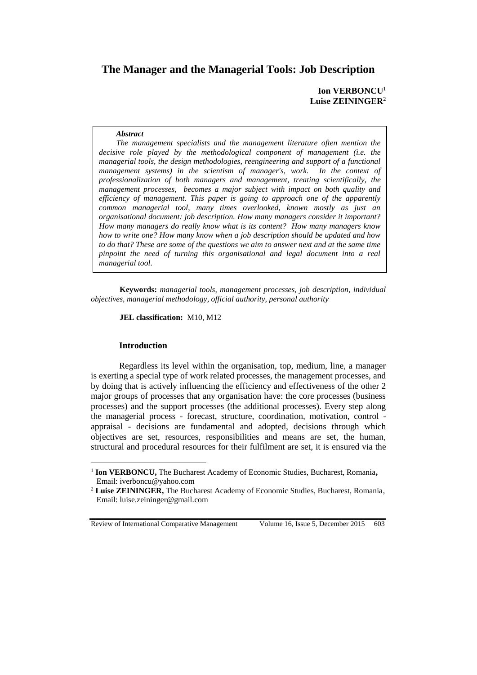# **The Manager and the Managerial Tools: Job Description**

**Ion VERBONCU**<sup>1</sup> **Luise ZEININGER**<sup>2</sup>

#### *Abstract*

*The management specialists and the management literature often mention the decisive role played by the methodological component of management (i.e. the managerial tools, the design methodologies, reengineering and support of a functional management systems) in the scientism of manager's, work. In the context of professionalization of both managers and management, treating scientifically, the management processes, becomes a major subject with impact on both quality and efficiency of management. This paper is going to approach one of the apparently common managerial tool, many times overlooked, known mostly as just an organisational document: job description. How many managers consider it important? How many managers do really know what is its content? How many managers know how to write one? How many know when a job description should be updated and how to do that? These are some of the questions we aim to answer next and at the same time pinpoint the need of turning this organisational and legal document into a real managerial tool.* 

**Keywords:** *managerial tools, management processes, job description, individual objectives, managerial methodology, official authority, personal authority*

**JEL classification:** M10, M12

# **Introduction**

 $\overline{a}$ 

Regardless its level within the organisation, top, medium, line, a manager is exerting a special type of work related processes, the management processes, and by doing that is actively influencing the efficiency and effectiveness of the other 2 major groups of processes that any organisation have: the core processes (business processes) and the support processes (the additional processes). Every step along the managerial process - forecast, structure, coordination, motivation, control appraisal - decisions are fundamental and adopted, decisions through which objectives are set, resources, responsibilities and means are set, the human, structural and procedural resources for their fulfilment are set, it is ensured via the

<sup>&</sup>lt;sup>1</sup> Ion VERBONCU, The Bucharest Academy of Economic Studies, Bucharest, Romania, Email: iverboncu@yahoo.com

<sup>2</sup> **Luise ZEININGER,** The Bucharest Academy of Economic Studies, Bucharest, Romania, Email: luise.zeininger@gmail.com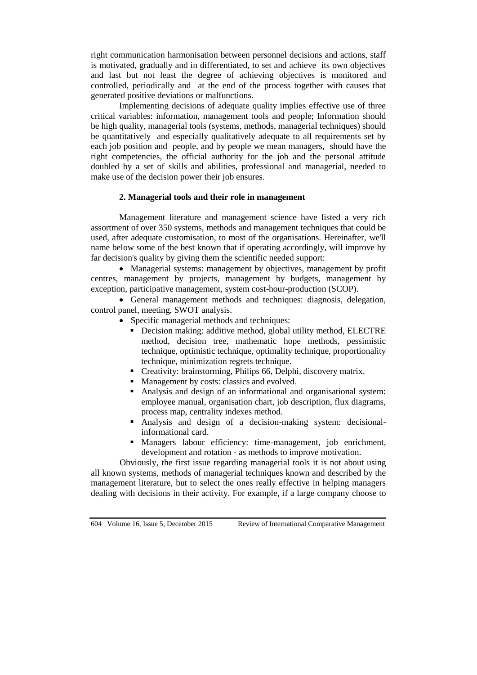right communication harmonisation between personnel decisions and actions, staff is motivated, gradually and in differentiated, to set and achieve its own objectives and last but not least the degree of achieving objectives is monitored and controlled, periodically and at the end of the process together with causes that generated positive deviations or malfunctions.

Implementing decisions of adequate quality implies effective use of three critical variables: information, management tools and people; Information should be high quality, managerial tools (systems, methods, managerial techniques) should be quantitatively and especially qualitatively adequate to all requirements set by each job position and people, and by people we mean managers, should have the right competencies, the official authority for the job and the personal attitude doubled by a set of skills and abilities, professional and managerial, needed to make use of the decision power their job ensures.

# **2. Managerial tools and their role in management**

Management literature and management science have listed a very rich assortment of over 350 systems, methods and management techniques that could be used, after adequate customisation, to most of the organisations. Hereinafter, we'll name below some of the best known that if operating accordingly, will improve by far decision's quality by giving them the scientific needed support:

 Managerial systems: management by objectives, management by profit centres, management by projects, management by budgets, management by exception, participative management, system cost-hour-production (SCOP).

 General management methods and techniques: diagnosis, delegation, control panel, meeting, SWOT analysis.

- Specific managerial methods and techniques:
	- Decision making: additive method, global utility method, ELECTRE method, decision tree, mathematic hope methods, pessimistic technique, optimistic technique, optimality technique, proportionality technique, minimization regrets technique.
	- Creativity: brainstorming, Philips 66, Delphi, discovery matrix.
	- Management by costs: classics and evolved.
	- Analysis and design of an informational and organisational system: employee manual, organisation chart, job description, flux diagrams, process map, centrality indexes method.
	- Analysis and design of a decision-making system: decisionalinformational card.
	- Managers labour efficiency: time-management, job enrichment, development and rotation - as methods to improve motivation.

Obviously, the first issue regarding managerial tools it is not about using all known systems, methods of managerial techniques known and described by the management literature, but to select the ones really effective in helping managers dealing with decisions in their activity. For example, if a large company choose to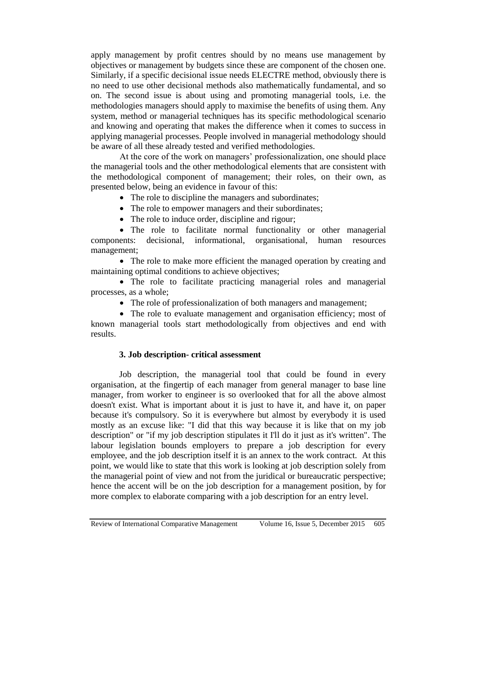apply management by profit centres should by no means use management by objectives or management by budgets since these are component of the chosen one. Similarly, if a specific decisional issue needs ELECTRE method, obviously there is no need to use other decisional methods also mathematically fundamental, and so on. The second issue is about using and promoting managerial tools, i.e. the methodologies managers should apply to maximise the benefits of using them. Any system, method or managerial techniques has its specific methodological scenario and knowing and operating that makes the difference when it comes to success in applying managerial processes. People involved in managerial methodology should be aware of all these already tested and verified methodologies.

At the core of the work on managers' professionalization, one should place the managerial tools and the other methodological elements that are consistent with the methodological component of management; their roles, on their own, as presented below, being an evidence in favour of this:

• The role to discipline the managers and subordinates;

• The role to empower managers and their subordinates;

• The role to induce order, discipline and rigour;

• The role to facilitate normal functionality or other managerial ents: decisional, informational, organisational, human resources components: decisional, informational, management;

• The role to make more efficient the managed operation by creating and maintaining optimal conditions to achieve objectives;

 The role to facilitate practicing managerial roles and managerial processes, as a whole;

• The role of professionalization of both managers and management;

• The role to evaluate management and organisation efficiency; most of known managerial tools start methodologically from objectives and end with results.

### **3. Job description- critical assessment**

Job description, the managerial tool that could be found in every organisation, at the fingertip of each manager from general manager to base line manager, from worker to engineer is so overlooked that for all the above almost doesn't exist. What is important about it is just to have it, and have it, on paper because it's compulsory. So it is everywhere but almost by everybody it is used mostly as an excuse like: "I did that this way because it is like that on my job description" or "if my job description stipulates it I'll do it just as it's written". The labour legislation bounds employers to prepare a job description for every employee, and the job description itself it is an annex to the work contract. At this point, we would like to state that this work is looking at job description solely from the managerial point of view and not from the juridical or bureaucratic perspective; hence the accent will be on the job description for a management position, by for more complex to elaborate comparing with a job description for an entry level.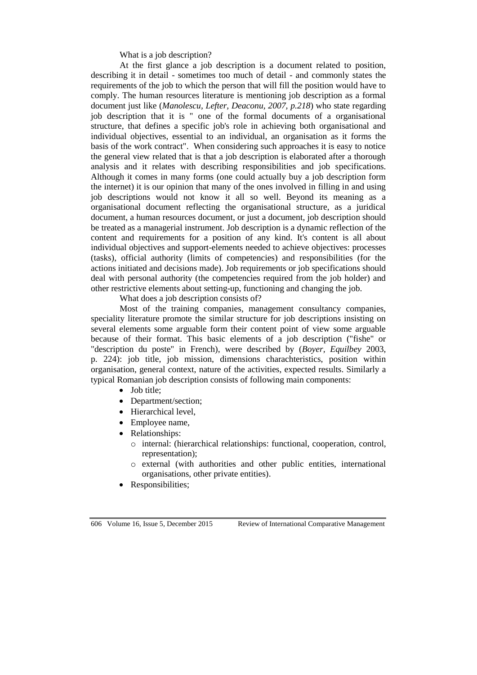What is a job description?

At the first glance a job description is a document related to position, describing it in detail - sometimes too much of detail - and commonly states the requirements of the job to which the person that will fill the position would have to comply. The human resources literature is mentioning job description as a formal document just like (*Manolescu, Lefter, Deaconu, 2007, p.218*) who state regarding job description that it is " one of the formal documents of a organisational structure, that defines a specific job's role in achieving both organisational and individual objectives, essential to an individual, an organisation as it forms the basis of the work contract". When considering such approaches it is easy to notice the general view related that is that a job description is elaborated after a thorough analysis and it relates with describing responsibilities and job specifications. Although it comes in many forms (one could actually buy a job description form the internet) it is our opinion that many of the ones involved in filling in and using job descriptions would not know it all so well. Beyond its meaning as a organisational document reflecting the organisational structure, as a juridical document, a human resources document, or just a document, job description should be treated as a managerial instrument. Job description is a dynamic reflection of the content and requirements for a position of any kind. It's content is all about individual objectives and support-elements needed to achieve objectives: processes (tasks), official authority (limits of competencies) and responsibilities (for the actions initiated and decisions made). Job requirements or job specifications should deal with personal authority (the competencies required from the job holder) and other restrictive elements about setting-up, functioning and changing the job.

What does a job description consists of?

Most of the training companies, management consultancy companies, speciality literature promote the similar structure for job descriptions insisting on several elements some arguable form their content point of view some arguable because of their format. This basic elements of a job description ("fishe" or "description du poste" in French), were described by (*Boyer, Equilbey* 2003, p. 224): job title, job mission, dimensions charachteristics, position within organisation, general context, nature of the activities, expected results. Similarly a typical Romanian job description consists of following main components:

- Job title;
- Department/section;
- Hierarchical level,
- Employee name,
- Relationships:
	- o internal: (hierarchical relationships: functional, cooperation, control, representation);
	- o external (with authorities and other public entities, international organisations, other private entities).
- Responsibilities;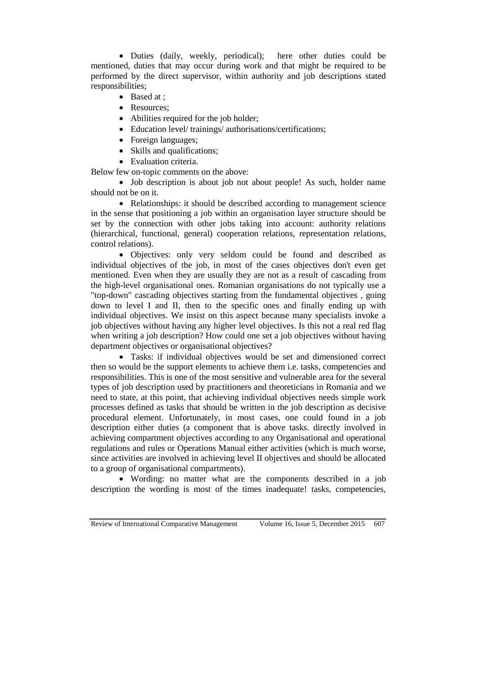Duties (daily, weekly, periodical); here other duties could be mentioned, duties that may occur during work and that might be required to be performed by the direct supervisor, within authority and job descriptions stated responsibilities;

- Based at :
- Resources;
- Abilities required for the job holder;
- Education level/ trainings/ authorisations/certifications;
- Foreign languages;
- Skills and qualifications;
- Evaluation criteria.

Below few on-topic comments on the above:

• Job description is about job not about people! As such, holder name should not be on it.

• Relationships: it should be described according to management science in the sense that positioning a job within an organisation layer structure should be set by the connection with other jobs taking into account: authority relations (hierarchical, functional, general) cooperation relations, representation relations, control relations).

 Objectives: only very seldom could be found and described as individual objectives of the job, in most of the cases objectives don't even get mentioned. Even when they are usually they are not as a result of cascading from the high-level organisational ones. Romanian organisations do not typically use a "top-down" cascading objectives starting from the fundamental objectives , going down to level I and II, then to the specific ones and finally ending up with individual objectives. We insist on this aspect because many specialists invoke a job objectives without having any higher level objectives. Is this not a real red flag when writing a job description? How could one set a job objectives without having department objectives or organisational objectives?

 Tasks: if individual objectives would be set and dimensioned correct then so would be the support elements to achieve them i.e. tasks, competencies and responsibilities. This is one of the most sensitive and vulnerable area for the several types of job description used by practitioners and theoreticians in Romania and we need to state, at this point, that achieving individual objectives needs simple work processes defined as tasks that should be written in the job description as decisive procedural element. Unfortunately, in most cases, one could found in a job description either duties (a component that is above tasks. directly involved in achieving compartment objectives according to any Organisational and operational regulations and rules or Operations Manual either activities (which is much worse, since activities are involved in achieving level II objectives and should be allocated to a group of organisational compartments).

 Wording: no matter what are the components described in a job description the wording is most of the times inadequate! tasks, competencies,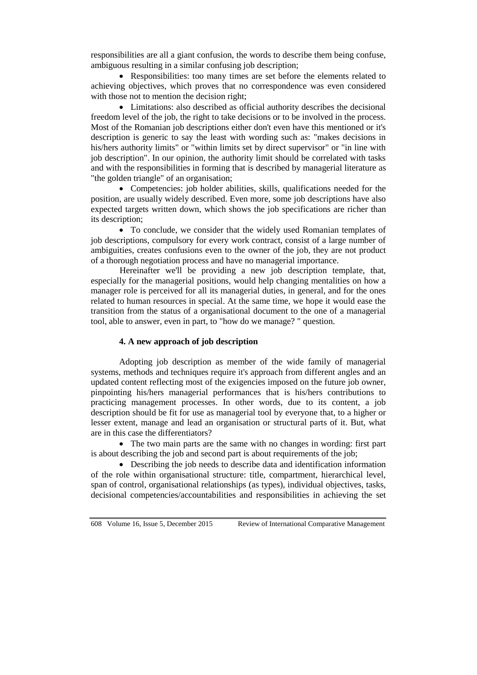responsibilities are all a giant confusion, the words to describe them being confuse, ambiguous resulting in a similar confusing job description;

 Responsibilities: too many times are set before the elements related to achieving objectives, which proves that no correspondence was even considered with those not to mention the decision right;

 Limitations: also described as official authority describes the decisional freedom level of the job, the right to take decisions or to be involved in the process. Most of the Romanian job descriptions either don't even have this mentioned or it's description is generic to say the least with wording such as: "makes decisions in his/hers authority limits" or "within limits set by direct supervisor" or "in line with job description". In our opinion, the authority limit should be correlated with tasks and with the responsibilities in forming that is described by managerial literature as "the golden triangle" of an organisation;

 Competencies: job holder abilities, skills, qualifications needed for the position, are usually widely described. Even more, some job descriptions have also expected targets written down, which shows the job specifications are richer than its description;

• To conclude, we consider that the widely used Romanian templates of job descriptions, compulsory for every work contract, consist of a large number of ambiguities, creates confusions even to the owner of the job, they are not product of a thorough negotiation process and have no managerial importance.

Hereinafter we'll be providing a new job description template, that, especially for the managerial positions, would help changing mentalities on how a manager role is perceived for all its managerial duties, in general, and for the ones related to human resources in special. At the same time, we hope it would ease the transition from the status of a organisational document to the one of a managerial tool, able to answer, even in part, to "how do we manage? " question.

## **4. A new approach of job description**

Adopting job description as member of the wide family of managerial systems, methods and techniques require it's approach from different angles and an updated content reflecting most of the exigencies imposed on the future job owner, pinpointing his/hers managerial performances that is his/hers contributions to practicing management processes. In other words, due to its content, a job description should be fit for use as managerial tool by everyone that, to a higher or lesser extent, manage and lead an organisation or structural parts of it. But, what are in this case the differentiators?

 The two main parts are the same with no changes in wording: first part is about describing the job and second part is about requirements of the job;

 Describing the job needs to describe data and identification information of the role within organisational structure: title, compartment, hierarchical level, span of control, organisational relationships (as types), individual objectives, tasks, decisional competencies/accountabilities and responsibilities in achieving the set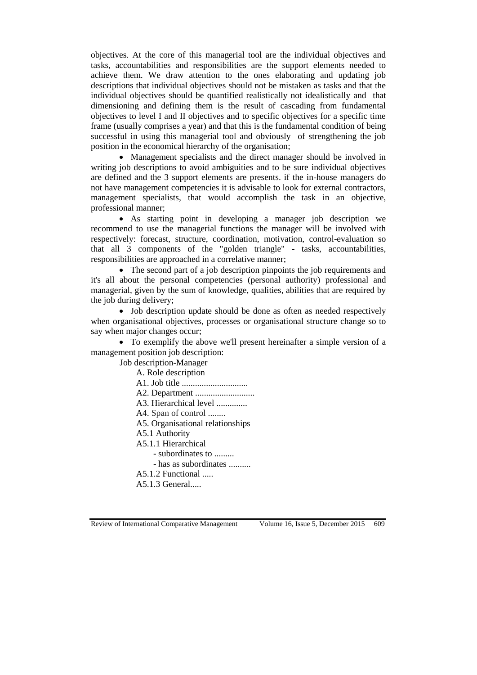objectives. At the core of this managerial tool are the individual objectives and tasks, accountabilities and responsibilities are the support elements needed to achieve them. We draw attention to the ones elaborating and updating job descriptions that individual objectives should not be mistaken as tasks and that the individual objectives should be quantified realistically not idealistically and that dimensioning and defining them is the result of cascading from fundamental objectives to level I and II objectives and to specific objectives for a specific time frame (usually comprises a year) and that this is the fundamental condition of being successful in using this managerial tool and obviously of strengthening the job position in the economical hierarchy of the organisation;

 Management specialists and the direct manager should be involved in writing job descriptions to avoid ambiguities and to be sure individual objectives are defined and the 3 support elements are presents. if the in-house managers do not have management competencies it is advisable to look for external contractors, management specialists, that would accomplish the task in an objective, professional manner;

 As starting point in developing a manager job description we recommend to use the managerial functions the manager will be involved with respectively: forecast, structure, coordination, motivation, control-evaluation so that all 3 components of the "golden triangle" - tasks, accountabilities, responsibilities are approached in a correlative manner;

• The second part of a job description pinpoints the job requirements and it's all about the personal competencies (personal authority) professional and managerial, given by the sum of knowledge, qualities, abilities that are required by the job during delivery;

• Job description update should be done as often as needed respectively when organisational objectives, processes or organisational structure change so to say when major changes occur;

 To exemplify the above we'll present hereinafter a simple version of a management position job description:

Job description-Manager A. Role description

A1. Job title .............................. A2. Department ........................... A3. Hierarchical level .............. A4. Span of control ........ A5. Organisational relationships A5.1 Authority A5.1.1 Hierarchical - subordinates to ......... - has as subordinates .......... A5.1.2 Functional ..... A5.1.3 General.....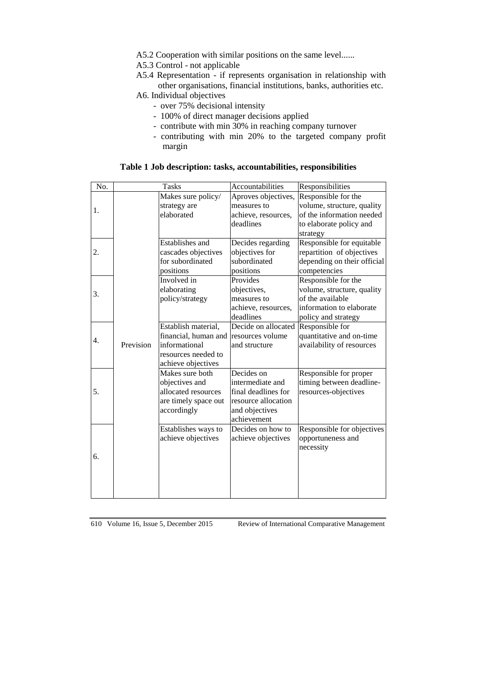A5.2 Cooperation with similar positions on the same level......

A5.3 Control - not applicable

A5.4 Representation - if represents organisation in relationship with other organisations, financial institutions, banks, authorities etc.

A6. Individual objectives

- over 75% decisional intensity
- 100% of direct manager decisions applied
- contribute with min 30% in reaching company turnover
- contributing with min 20% to the targeted company profit margin

| No. | <b>Tasks</b> |                                           | Accountabilities              | Responsibilities                                |
|-----|--------------|-------------------------------------------|-------------------------------|-------------------------------------------------|
|     |              | Makes sure policy/                        | Aproves objectives,           | Responsible for the                             |
| 1.  |              | strategy are                              | measures to                   | volume, structure, quality                      |
|     |              | elaborated                                | achieve, resources,           | of the information needed                       |
|     |              |                                           | deadlines                     | to elaborate policy and                         |
|     |              |                                           |                               | strategy                                        |
| 2.  |              | Establishes and                           | Decides regarding             | Responsible for equitable                       |
|     |              | cascades objectives                       | objectives for                | repartition of objectives                       |
|     |              | for subordinated                          | subordinated                  | depending on their official                     |
|     |              | positions                                 | positions                     | competencies                                    |
| 3.  |              | Involved in                               | Provides                      | Responsible for the                             |
|     |              | elaborating                               | objectives,                   | volume, structure, quality                      |
|     |              | policy/strategy                           | measures to                   | of the available                                |
|     |              |                                           | achieve, resources,           | information to elaborate                        |
|     |              |                                           | deadlines                     | policy and strategy                             |
| 4.  |              | Establish material,                       | Decide on allocated           | Responsible for                                 |
|     |              | financial, human and resources volume     |                               | quantitative and on-time                        |
|     | Prevision    | informational                             | and structure                 | availability of resources                       |
|     |              | resources needed to                       |                               |                                                 |
|     |              | achieve objectives                        |                               |                                                 |
|     |              | Makes sure both                           | Decides on                    | Responsible for proper                          |
| 5.  |              | objectives and                            | intermediate and              | timing between deadline-                        |
|     |              | allocated resources                       | final deadlines for           | resources-objectives                            |
|     |              | are timely space out                      | resource allocation           |                                                 |
|     |              | accordingly                               | and objectives<br>achievement |                                                 |
|     |              |                                           | Decides on how to             |                                                 |
| 6.  |              | Establishes ways to<br>achieve objectives | achieve objectives            | Responsible for objectives<br>opportuneness and |
|     |              |                                           |                               | necessity                                       |
|     |              |                                           |                               |                                                 |
|     |              |                                           |                               |                                                 |
|     |              |                                           |                               |                                                 |
|     |              |                                           |                               |                                                 |
|     |              |                                           |                               |                                                 |

## **Table 1 Job description: tasks, accountabilities, responsibilities**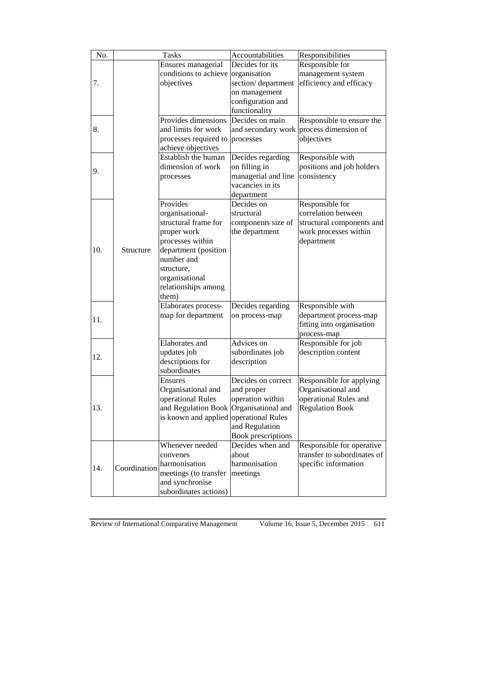| No. |              | <b>Tasks</b>                           | Accountabilities    | Responsibilities                        |
|-----|--------------|----------------------------------------|---------------------|-----------------------------------------|
|     |              | Ensures managerial                     | Decides for its     | Responsible for                         |
|     |              | conditions to achieve organisation     |                     | management system                       |
| 7.  |              | objectives                             | section/department  | efficiency and efficacy                 |
|     |              |                                        | on management       |                                         |
|     |              |                                        | configuration and   |                                         |
|     |              |                                        | functionality       |                                         |
|     |              | Provides dimensions                    | Decides on main     | Responsible to ensure the               |
| 8.  |              | and limits for work                    |                     | and secondary work process dimension of |
|     |              | processes required to                  | processes           | objectives                              |
|     |              | achieve objectives                     |                     |                                         |
|     |              | Establish the human                    | Decides regarding   | Responsible with                        |
|     |              | dimension of work                      | on filling in       | positions and job holders               |
| 9.  |              | processes                              | managerial and line | consistency                             |
|     |              |                                        | vacancies in its    |                                         |
|     |              |                                        | department          |                                         |
|     |              | Provides                               | Decides on          | Responsible for                         |
|     |              | organisational-                        | structural          | correlation between                     |
|     |              | structural frame for                   | components size of  | structural components and               |
|     |              | proper work                            | the department      | work processes within                   |
|     |              | processes within                       |                     | department                              |
| 10. | Structure    | department (position                   |                     |                                         |
|     |              | number and                             |                     |                                         |
|     |              | structure,                             |                     |                                         |
|     |              | organisational                         |                     |                                         |
|     |              | relationships among                    |                     |                                         |
|     |              | them)                                  |                     |                                         |
|     |              | Elaborates process-                    | Decides regarding   | Responsible with                        |
| 11. |              | map for department                     | on process-map      | department process-map                  |
|     |              |                                        |                     | fitting into organisation               |
|     |              |                                        |                     | process-map                             |
|     |              | Elaborates and                         | Advices on          | Responsible for job                     |
| 12. |              | updates job                            | subordinates job    | description content                     |
|     |              | descriptions for                       | description         |                                         |
|     |              | subordinates                           |                     |                                         |
|     |              | <b>Ensures</b>                         | Decides on correct  | Responsible for applying                |
| 13. |              | Organisational and                     | and proper          | Organisational and                      |
|     |              | operational Rules                      | operation within    | operational Rules and                   |
|     |              | and Regulation Book Organisational and |                     | <b>Regulation Book</b>                  |
|     |              | is known and applied operational Rules |                     |                                         |
|     |              |                                        | and Regulation      |                                         |
|     |              |                                        | Book prescriptions  |                                         |
|     |              | Whenever needed                        | Decides when and    | Responsible for operative               |
| 14. | Coordination | convenes                               | about               | transfer to subordinates of             |
|     |              | harmonisation                          | harmonisation       | specific information                    |
|     |              | meetings (to transfer                  | meetings            |                                         |
|     |              | and synchronise                        |                     |                                         |
|     |              | subordinates actions)                  |                     |                                         |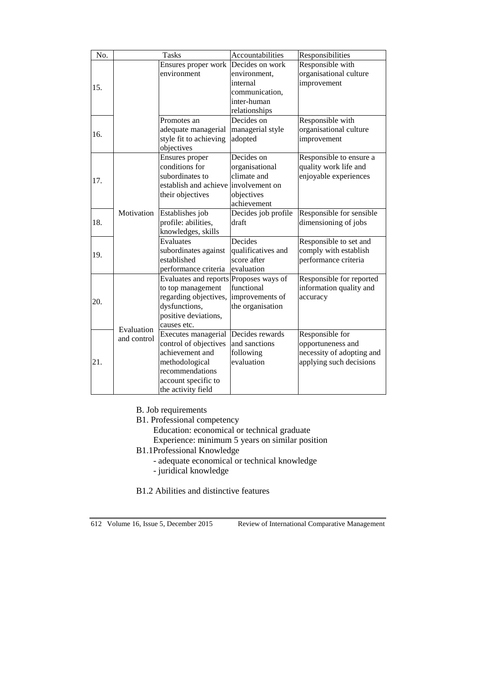| No. | <b>Tasks</b>              |                                                                                                                                                   | Accountabilities                                                                              | Responsibilities                                                                             |
|-----|---------------------------|---------------------------------------------------------------------------------------------------------------------------------------------------|-----------------------------------------------------------------------------------------------|----------------------------------------------------------------------------------------------|
| 15. |                           | Ensures proper work<br>environment                                                                                                                | Decides on work<br>environment,<br>internal<br>communication,<br>inter-human<br>relationships | Responsible with<br>organisational culture<br>improvement                                    |
| 16. |                           | Promotes an<br>adequate managerial<br>style fit to achieving<br>objectives                                                                        | Decides on<br>managerial style<br>adopted                                                     | Responsible with<br>organisational culture<br>improvement                                    |
| 17. | Motivation                | Ensures proper<br>conditions for<br>subordinates to<br>establish and achieve<br>their objectives                                                  | Decides on<br>organisational<br>climate and<br>involvement on<br>objectives<br>achievement    | Responsible to ensure a<br>quality work life and<br>enjoyable experiences                    |
| 18. |                           | Establishes job<br>profile: abilities,<br>knowledges, skills                                                                                      | Decides job profile<br>draft                                                                  | Responsible for sensible<br>dimensioning of jobs                                             |
| 19. |                           | $\overline{\mathrm{E}}$ valuates<br>subordinates against<br>established<br>performance criteria                                                   | Decides<br>qualificatives and<br>score after<br>evaluation                                    | Responsible to set and<br>comply with establish<br>performance criteria                      |
| 20. | Evaluation<br>and control | Evaluates and reports Proposes ways of<br>to top management<br>regarding objectives,<br>dysfunctions,<br>positive deviations,<br>causes etc.      | functional<br>improvements of<br>the organisation                                             | Responsible for reported<br>information quality and<br>accuracy                              |
| 21. |                           | Executes managerial<br>control of objectives<br>achievement and<br>methodological<br>recommendations<br>account specific to<br>the activity field | Decides rewards<br>and sanctions<br>following<br>evaluation                                   | Responsible for<br>opportuneness and<br>necessity of adopting and<br>applying such decisions |

B. Job requirements

B1. Professional competency

Education: economical or technical graduate

Experience: minimum 5 years on similar position

B1.1Professional Knowledge

- adequate economical or technical knowledge
- juridical knowledge

B1.2 Abilities and distinctive features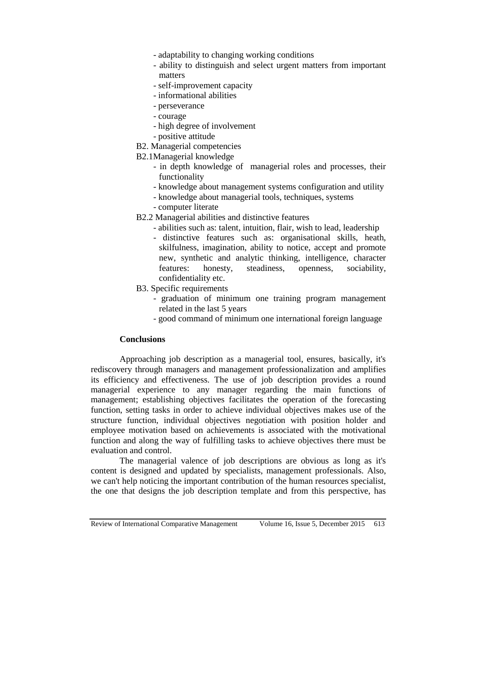- adaptability to changing working conditions
- ability to distinguish and select urgent matters from important matters
- self-improvement capacity
- informational abilities
- perseverance
- courage
- high degree of involvement
- positive attitude
- B2. Managerial competencies
- B2.1Managerial knowledge
	- in depth knowledge of managerial roles and processes, their functionality
	- knowledge about management systems configuration and utility
	- knowledge about managerial tools, techniques, systems
	- computer literate
- B2.2 Managerial abilities and distinctive features
	- abilities such as: talent, intuition, flair, wish to lead, leadership
	- distinctive features such as: organisational skills, heath, skilfulness, imagination, ability to notice, accept and promote new, synthetic and analytic thinking, intelligence, character features: honesty, steadiness, openness, sociability, confidentiality etc.
- B3. Specific requirements
	- graduation of minimum one training program management related in the last 5 years
	- good command of minimum one international foreign language

# **Conclusions**

Approaching job description as a managerial tool, ensures, basically, it's rediscovery through managers and management professionalization and amplifies its efficiency and effectiveness. The use of job description provides a round managerial experience to any manager regarding the main functions of management; establishing objectives facilitates the operation of the forecasting function, setting tasks in order to achieve individual objectives makes use of the structure function, individual objectives negotiation with position holder and employee motivation based on achievements is associated with the motivational function and along the way of fulfilling tasks to achieve objectives there must be evaluation and control.

The managerial valence of job descriptions are obvious as long as it's content is designed and updated by specialists, management professionals. Also, we can't help noticing the important contribution of the human resources specialist, the one that designs the job description template and from this perspective, has